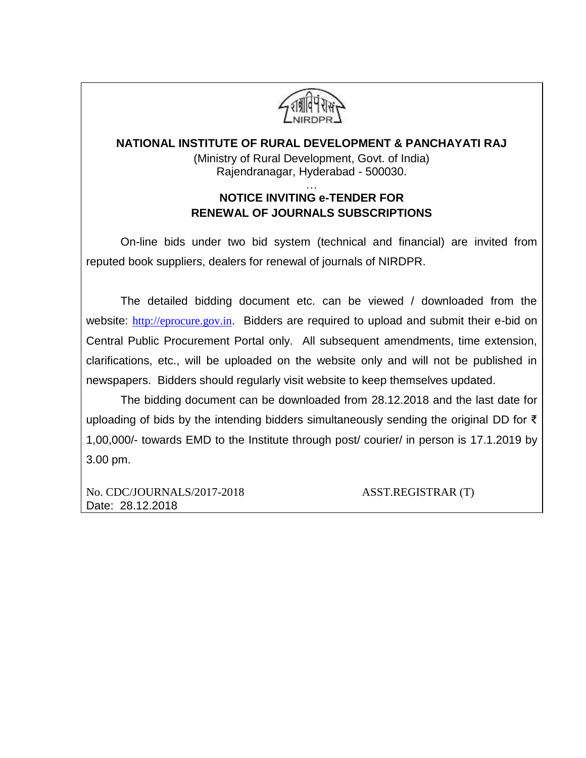

### **NATIONAL INSTITUTE OF RURAL DEVELOPMENT & PANCHAYATI RAJ**

(Ministry of Rural Development, Govt. of India) Rajendranagar, Hyderabad - 500030.

### … **NOTICE INVITING e-TENDER FOR RENEWAL OF JOURNALS SUBSCRIPTIONS**

On-line bids under two bid system (technical and financial) are invited from reputed book suppliers, dealers for renewal of journals of NIRDPR.

The detailed bidding document etc. can be viewed / downloaded from the website: [http://eprocure.gov.in](http://eprocure.gov.in/). Bidders are required to upload and submit their e-bid on Central Public Procurement Portal only. All subsequent amendments, time extension, clarifications, etc., will be uploaded on the website only and will not be published in newspapers. Bidders should regularly visit website to keep themselves updated.

The bidding document can be downloaded from 28.12.2018 and the last date for uploading of bids by the intending bidders simultaneously sending the original DD for ₹ 1,00,000/- towards EMD to the Institute through post/ courier/ in person is 17.1.2019 by 3.00 pm.

No. [CDC/JOURNALS/2017-2018](https://nirdpr.eoffice.gov.in/eFile/?x=8RC6M*y1-TLlyKlOU-GrluUA6W1awr5a) ASST.REGISTRAR (T) Date: 28.12.2018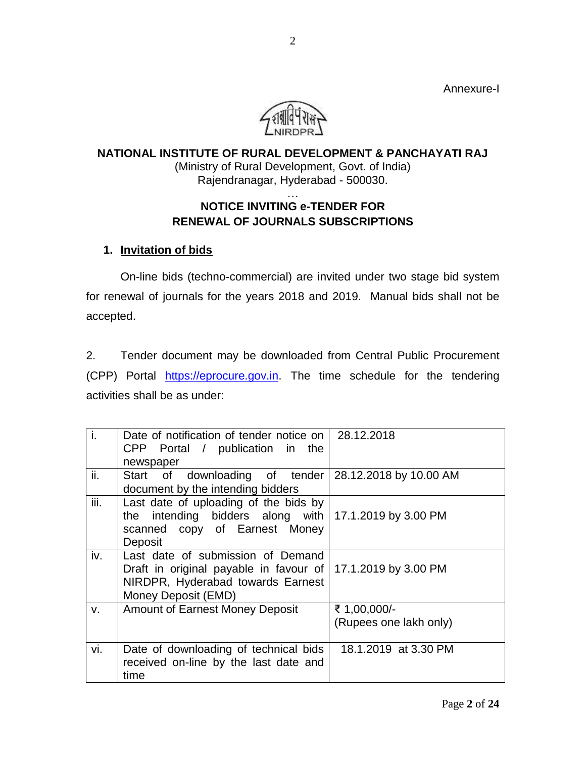Annexure-I



### **NATIONAL INSTITUTE OF RURAL DEVELOPMENT & PANCHAYATI RAJ** (Ministry of Rural Development, Govt. of India) Rajendranagar, Hyderabad - 500030. …

# **NOTICE INVITING e-TENDER FOR RENEWAL OF JOURNALS SUBSCRIPTIONS**

### **1. Invitation of bids**

On-line bids (techno-commercial) are invited under two stage bid system for renewal of journals for the years 2018 and 2019. Manual bids shall not be accepted.

2. Tender document may be downloaded from Central Public Procurement (CPP) Portal [https://eprocure.gov.in.](https://eprocure.gov.in/) The time schedule for the tendering activities shall be as under:

| ٠i.                         | Date of notification of tender notice on   28.12.2018<br>CPP Portal / publication in the<br>newspaper                                        |                                        |
|-----------------------------|----------------------------------------------------------------------------------------------------------------------------------------------|----------------------------------------|
| ii.                         | Start of downloading of tender 28.12.2018 by 10.00 AM<br>document by the intending bidders                                                   |                                        |
| $\overline{\mathsf{iii}}$ . | Last date of uploading of the bids by<br>the intending bidders along with $17.1.2019$ by 3.00 PM<br>scanned copy of Earnest Money<br>Deposit |                                        |
| iv.                         | Last date of submission of Demand<br>Draft in original payable in favour of<br>NIRDPR, Hyderabad towards Earnest<br>Money Deposit (EMD)      | 17.1.2019 by 3.00 PM                   |
| V.                          | <b>Amount of Earnest Money Deposit</b>                                                                                                       | ₹ 1,00,000/-<br>(Rupees one lakh only) |
| vi.                         | Date of downloading of technical bids<br>received on-line by the last date and<br>time                                                       | 18.1.2019 at 3.30 PM                   |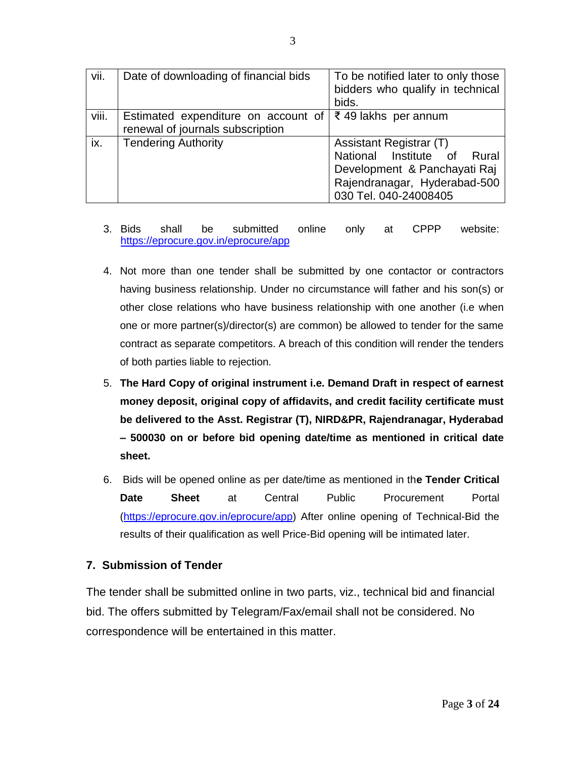| vii.  | Date of downloading of financial bids                                   | To be notified later to only those<br>bidders who qualify in technical<br>bids.                                                                    |  |  |  |  |
|-------|-------------------------------------------------------------------------|----------------------------------------------------------------------------------------------------------------------------------------------------|--|--|--|--|
| viii. | Estimated expenditure on account of<br>renewal of journals subscription | ₹ 49 lakhs per annum                                                                                                                               |  |  |  |  |
| ix.   | <b>Tendering Authority</b>                                              | Assistant Registrar (T)<br>National Institute of<br>Rural<br>Development & Panchayati Raj<br>Rajendranagar, Hyderabad-500<br>030 Tel. 040-24008405 |  |  |  |  |

- 3. Bids shall be submitted online only at CPPP website: <https://eprocure.gov.in/eprocure/app>
- 4. Not more than one tender shall be submitted by one contactor or contractors having business relationship. Under no circumstance will father and his son(s) or other close relations who have business relationship with one another (i.e when one or more partner(s)/director(s) are common) be allowed to tender for the same contract as separate competitors. A breach of this condition will render the tenders of both parties liable to rejection.
- 5. **The Hard Copy of original instrument i.e. Demand Draft in respect of earnest money deposit, original copy of affidavits, and credit facility certificate must be delivered to the Asst. Registrar (T), NIRD&PR, Rajendranagar, Hyderabad – 500030 on or before bid opening date/time as mentioned in critical date sheet.**
- 6. Bids will be opened online as per date/time as mentioned in th**e Tender Critical Date Sheet** at Central Public Procurement Portal [\(https://eprocure.gov.in/eprocure/app\)](https://eprocure.gov.in/eprocure/app) After online opening of Technical-Bid the results of their qualification as well Price-Bid opening will be intimated later.

### **7. Submission of Tender**

The tender shall be submitted online in two parts, viz., technical bid and financial bid. The offers submitted by Telegram/Fax/email shall not be considered. No correspondence will be entertained in this matter.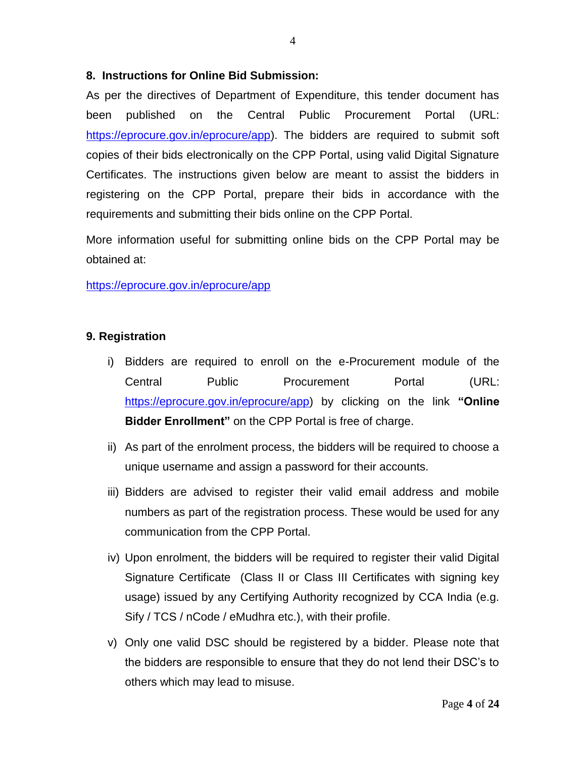### **8. Instructions for Online Bid Submission:**

As per the directives of Department of Expenditure, this tender document has been published on the Central Public Procurement Portal (URL: [https://eprocure.gov.in/eprocure/app\)](https://eprocure.gov.in/eprocure/app). The bidders are required to submit soft copies of their bids electronically on the CPP Portal, using valid Digital Signature Certificates. The instructions given below are meant to assist the bidders in registering on the CPP Portal, prepare their bids in accordance with the requirements and submitting their bids online on the CPP Portal.

More information useful for submitting online bids on the CPP Portal may be obtained at:

### <https://eprocure.gov.in/eprocure/app>

### **9. Registration**

- i) Bidders are required to enroll on the e-Procurement module of the Central Public Procurement Portal (URL: [https://eprocure.gov.in/eprocure/app\)](https://eprocure.gov.in/eprocure/app) by clicking on the link **"Online Bidder Enrollment"** on the CPP Portal is free of charge.
- ii) As part of the enrolment process, the bidders will be required to choose a unique username and assign a password for their accounts.
- iii) Bidders are advised to register their valid email address and mobile numbers as part of the registration process. These would be used for any communication from the CPP Portal.
- iv) Upon enrolment, the bidders will be required to register their valid Digital Signature Certificate (Class II or Class III Certificates with signing key usage) issued by any Certifying Authority recognized by CCA India (e.g. Sify / TCS / nCode / eMudhra etc.), with their profile.
- v) Only one valid DSC should be registered by a bidder. Please note that the bidders are responsible to ensure that they do not lend their DSC's to others which may lead to misuse.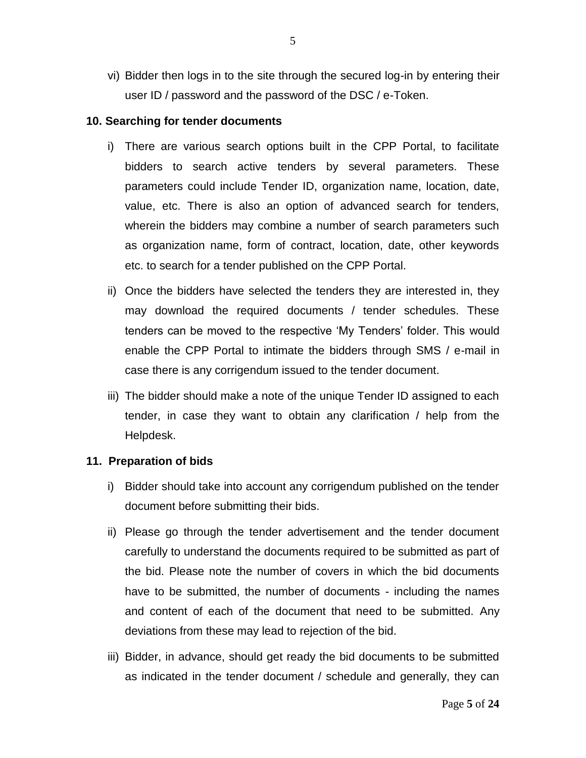vi) Bidder then logs in to the site through the secured log-in by entering their user ID / password and the password of the DSC / e-Token.

#### **10. Searching for tender documents**

- i) There are various search options built in the CPP Portal, to facilitate bidders to search active tenders by several parameters. These parameters could include Tender ID, organization name, location, date, value, etc. There is also an option of advanced search for tenders, wherein the bidders may combine a number of search parameters such as organization name, form of contract, location, date, other keywords etc. to search for a tender published on the CPP Portal.
- ii) Once the bidders have selected the tenders they are interested in, they may download the required documents / tender schedules. These tenders can be moved to the respective 'My Tenders' folder. This would enable the CPP Portal to intimate the bidders through SMS / e-mail in case there is any corrigendum issued to the tender document.
- iii) The bidder should make a note of the unique Tender ID assigned to each tender, in case they want to obtain any clarification / help from the Helpdesk.

#### **11. Preparation of bids**

- i) Bidder should take into account any corrigendum published on the tender document before submitting their bids.
- ii) Please go through the tender advertisement and the tender document carefully to understand the documents required to be submitted as part of the bid. Please note the number of covers in which the bid documents have to be submitted, the number of documents - including the names and content of each of the document that need to be submitted. Any deviations from these may lead to rejection of the bid.
- iii) Bidder, in advance, should get ready the bid documents to be submitted as indicated in the tender document / schedule and generally, they can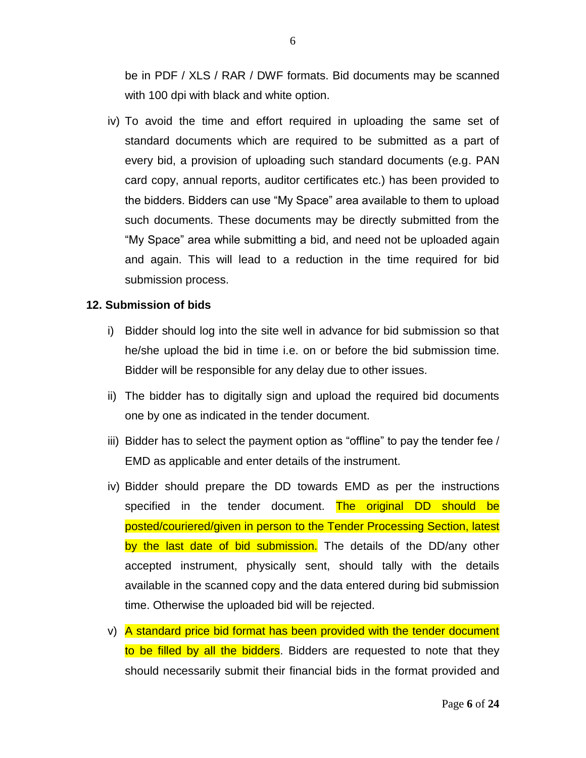be in PDF / XLS / RAR / DWF formats. Bid documents may be scanned with 100 dpi with black and white option.

iv) To avoid the time and effort required in uploading the same set of standard documents which are required to be submitted as a part of every bid, a provision of uploading such standard documents (e.g. PAN card copy, annual reports, auditor certificates etc.) has been provided to the bidders. Bidders can use "My Space" area available to them to upload such documents. These documents may be directly submitted from the "My Space" area while submitting a bid, and need not be uploaded again and again. This will lead to a reduction in the time required for bid submission process.

### **12. Submission of bids**

- i) Bidder should log into the site well in advance for bid submission so that he/she upload the bid in time i.e. on or before the bid submission time. Bidder will be responsible for any delay due to other issues.
- ii) The bidder has to digitally sign and upload the required bid documents one by one as indicated in the tender document.
- iii) Bidder has to select the payment option as "offline" to pay the tender fee / EMD as applicable and enter details of the instrument.
- iv) Bidder should prepare the DD towards EMD as per the instructions specified in the tender document. The original DD should be posted/couriered/given in person to the Tender Processing Section, latest by the last date of bid submission. The details of the DD/any other accepted instrument, physically sent, should tally with the details available in the scanned copy and the data entered during bid submission time. Otherwise the uploaded bid will be rejected.
- v) A standard price bid format has been provided with the tender document to be filled by all the bidders. Bidders are requested to note that they should necessarily submit their financial bids in the format provided and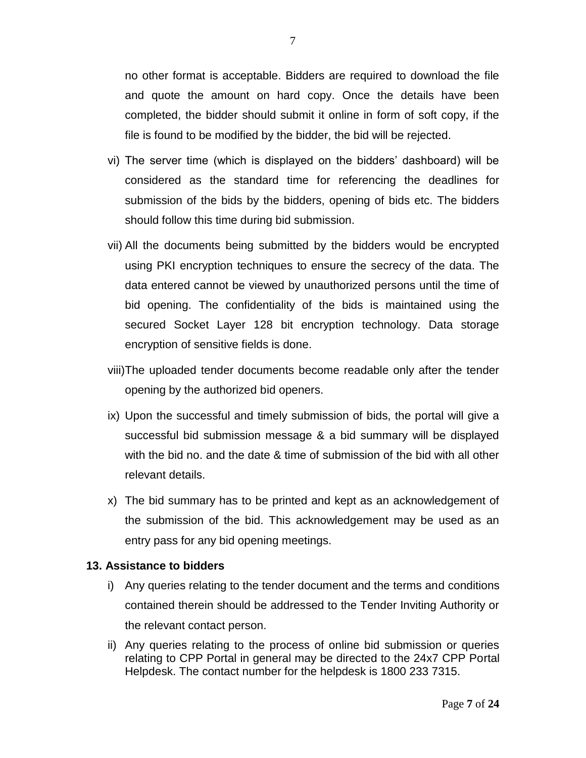no other format is acceptable. Bidders are required to download the file and quote the amount on hard copy. Once the details have been completed, the bidder should submit it online in form of soft copy, if the file is found to be modified by the bidder, the bid will be rejected.

- vi) The server time (which is displayed on the bidders' dashboard) will be considered as the standard time for referencing the deadlines for submission of the bids by the bidders, opening of bids etc. The bidders should follow this time during bid submission.
- vii) All the documents being submitted by the bidders would be encrypted using PKI encryption techniques to ensure the secrecy of the data. The data entered cannot be viewed by unauthorized persons until the time of bid opening. The confidentiality of the bids is maintained using the secured Socket Layer 128 bit encryption technology. Data storage encryption of sensitive fields is done.
- viii)The uploaded tender documents become readable only after the tender opening by the authorized bid openers.
- ix) Upon the successful and timely submission of bids, the portal will give a successful bid submission message & a bid summary will be displayed with the bid no. and the date & time of submission of the bid with all other relevant details.
- x) The bid summary has to be printed and kept as an acknowledgement of the submission of the bid. This acknowledgement may be used as an entry pass for any bid opening meetings.

#### **13. Assistance to bidders**

- i) Any queries relating to the tender document and the terms and conditions contained therein should be addressed to the Tender Inviting Authority or the relevant contact person.
- ii) Any queries relating to the process of online bid submission or queries relating to CPP Portal in general may be directed to the 24x7 CPP Portal Helpdesk. The contact number for the helpdesk is 1800 233 7315.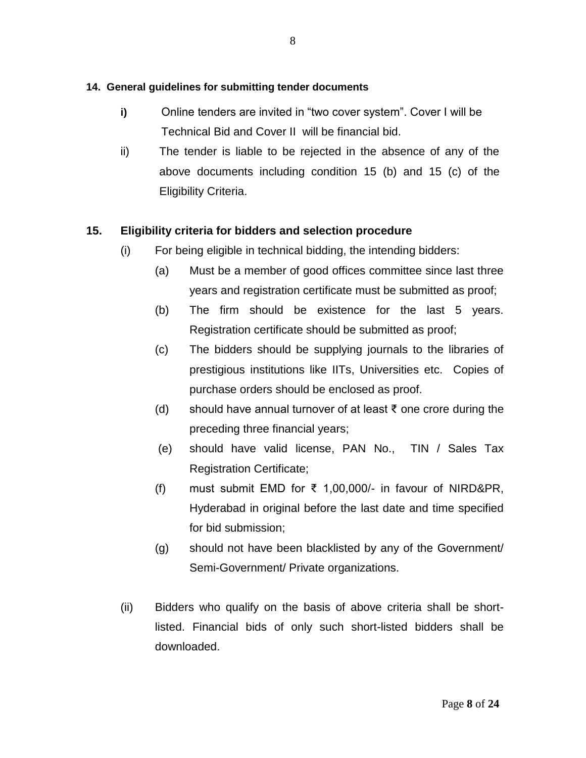### **14. General guidelines for submitting tender documents**

- **i)** Online tenders are invited in "two cover system". Cover I will be Technical Bid and Cover II will be financial bid.
- ii) The tender is liable to be rejected in the absence of any of the above documents including condition 15 (b) and 15 (c) of the Eligibility Criteria.

# **15. Eligibility criteria for bidders and selection procedure**

- (i) For being eligible in technical bidding, the intending bidders:
	- (a) Must be a member of good offices committee since last three years and registration certificate must be submitted as proof;
	- (b) The firm should be existence for the last 5 years. Registration certificate should be submitted as proof;
	- (c) The bidders should be supplying journals to the libraries of prestigious institutions like IITs, Universities etc. Copies of purchase orders should be enclosed as proof.
	- (d) should have annual turnover of at least  $\bar{\tau}$  one crore during the preceding three financial years;
	- (e) should have valid license, PAN No., TIN / Sales Tax Registration Certificate;
	- (f) must submit EMD for ₹ 1,00,000/- in favour of NIRD&PR, Hyderabad in original before the last date and time specified for bid submission;
	- (g) should not have been blacklisted by any of the Government/ Semi-Government/ Private organizations.
- (ii) Bidders who qualify on the basis of above criteria shall be shortlisted. Financial bids of only such short-listed bidders shall be downloaded.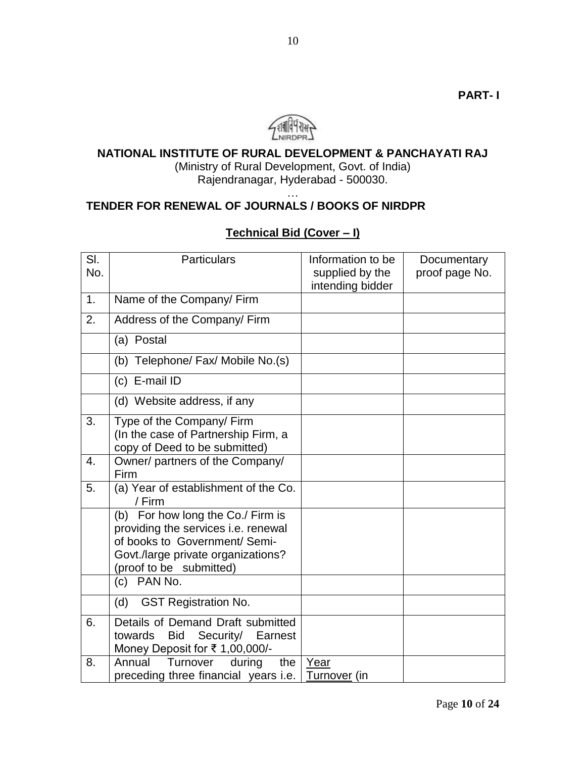

### **NATIONAL INSTITUTE OF RURAL DEVELOPMENT & PANCHAYATI RAJ**

(Ministry of Rural Development, Govt. of India) Rajendranagar, Hyderabad - 500030.

…

# **TENDER FOR RENEWAL OF JOURNALS / BOOKS OF NIRDPR**

# **Technical Bid (Cover – I)**

| SI.<br>No.       | <b>Particulars</b>                                                                                                                                                         | Information to be<br>supplied by the<br>intending bidder | Documentary<br>proof page No. |
|------------------|----------------------------------------------------------------------------------------------------------------------------------------------------------------------------|----------------------------------------------------------|-------------------------------|
| 1.               | Name of the Company/ Firm                                                                                                                                                  |                                                          |                               |
| 2.               | Address of the Company/ Firm                                                                                                                                               |                                                          |                               |
|                  | (a) Postal                                                                                                                                                                 |                                                          |                               |
|                  | (b) Telephone/ Fax/ Mobile No.(s)                                                                                                                                          |                                                          |                               |
|                  | (c) E-mail ID                                                                                                                                                              |                                                          |                               |
|                  | (d) Website address, if any                                                                                                                                                |                                                          |                               |
| 3.               | Type of the Company/ Firm<br>(In the case of Partnership Firm, a<br>copy of Deed to be submitted)                                                                          |                                                          |                               |
| $\overline{4}$ . | Owner/ partners of the Company/<br>Firm                                                                                                                                    |                                                          |                               |
| 5.               | (a) Year of establishment of the Co.<br>/ Firm                                                                                                                             |                                                          |                               |
|                  | (b) For how long the Co./ Firm is<br>providing the services i.e. renewal<br>of books to Government/ Semi-<br>Govt./large private organizations?<br>(proof to be submitted) |                                                          |                               |
|                  | (c) PAN No.                                                                                                                                                                |                                                          |                               |
|                  | <b>GST Registration No.</b><br>(d)                                                                                                                                         |                                                          |                               |
| 6.               | Details of Demand Draft submitted<br>Security/<br>towards<br><b>Bid</b><br>Earnest<br>Money Deposit for ₹ 1,00,000/-                                                       |                                                          |                               |
| 8.               | Annual<br>Turnover<br>during<br>the<br>preceding three financial years i.e.                                                                                                | Year<br>Turnover (in                                     |                               |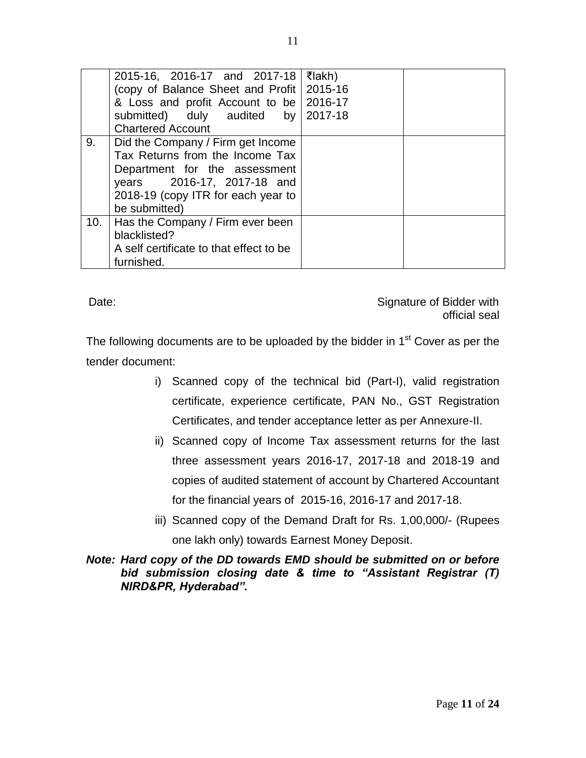|     | 2015-16, 2016-17 and 2017-18<br>(copy of Balance Sheet and Profit   2015-16<br>& Loss and profit Account to be 2016-17<br>submitted) duly audited by 2017-18<br><b>Chartered Account</b>   | ₹lakh) |  |
|-----|--------------------------------------------------------------------------------------------------------------------------------------------------------------------------------------------|--------|--|
| 9.  | Did the Company / Firm get Income<br>Tax Returns from the Income Tax<br>Department for the assessment<br>years 2016-17, 2017-18 and<br>2018-19 (copy ITR for each year to<br>be submitted) |        |  |
| 10. | Has the Company / Firm ever been<br>blacklisted?<br>A self certificate to that effect to be<br>furnished.                                                                                  |        |  |

Date: Date: Signature of Bidder with  $\sim$ official seal

The following documents are to be uploaded by the bidder in  $1<sup>st</sup>$  Cover as per the tender document:

- i) Scanned copy of the technical bid (Part-I), valid registration certificate, experience certificate, PAN No., GST Registration Certificates, and tender acceptance letter as per Annexure-II.
- ii) Scanned copy of Income Tax assessment returns for the last three assessment years 2016-17, 2017-18 and 2018-19 and copies of audited statement of account by Chartered Accountant for the financial years of 2015-16, 2016-17 and 2017-18.
- iii) Scanned copy of the Demand Draft for Rs. 1,00,000/- (Rupees one lakh only) towards Earnest Money Deposit.

### *Note: Hard copy of the DD towards EMD should be submitted on or before bid submission closing date & time to "Assistant Registrar (T) NIRD&PR, Hyderabad".*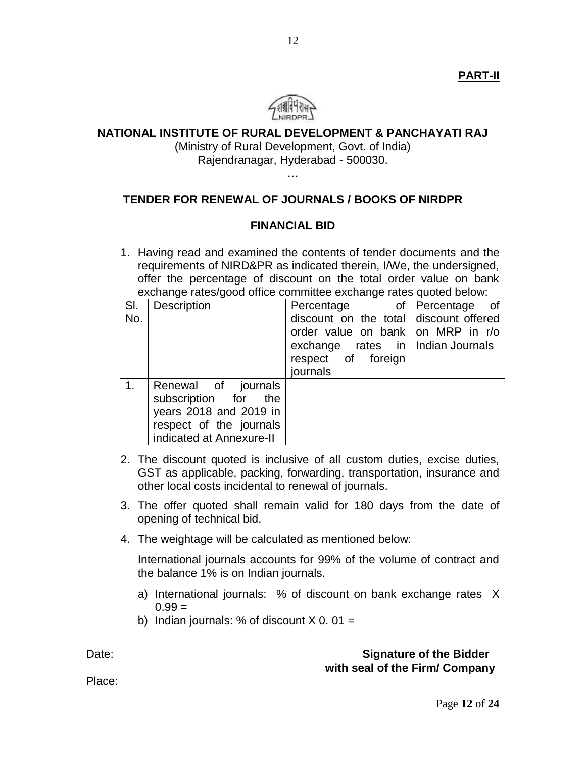**PART-II**



### **NATIONAL INSTITUTE OF RURAL DEVELOPMENT & PANCHAYATI RAJ**

(Ministry of Rural Development, Govt. of India) Rajendranagar, Hyderabad - 500030.

…

# **TENDER FOR RENEWAL OF JOURNALS / BOOKS OF NIRDPR**

#### **FINANCIAL BID**

1. Having read and examined the contents of tender documents and the requirements of NIRD&PR as indicated therein, I/We, the undersigned, offer the percentage of discount on the total order value on bank exchange rates/good office committee exchange rates quoted below:

| SI.            | Description              | Percentage                             | of   Percentage<br>_of |
|----------------|--------------------------|----------------------------------------|------------------------|
| No.            |                          | discount on the total discount offered |                        |
|                |                          | order value on bank on MRP in r/o      |                        |
|                |                          | exchange rates in   Indian Journals    |                        |
|                |                          | respect of foreign                     |                        |
|                |                          | journals                               |                        |
| 1 <sub>1</sub> | Renewal of journals      |                                        |                        |
|                | subscription for<br>the  |                                        |                        |
|                | years 2018 and 2019 in   |                                        |                        |
|                | respect of the journals  |                                        |                        |
|                | indicated at Annexure-II |                                        |                        |

- 2. The discount quoted is inclusive of all custom duties, excise duties, GST as applicable, packing, forwarding, transportation, insurance and other local costs incidental to renewal of journals.
- 3. The offer quoted shall remain valid for 180 days from the date of opening of technical bid.
- 4. The weightage will be calculated as mentioned below:

International journals accounts for 99% of the volume of contract and the balance 1% is on Indian journals.

- a) International journals: % of discount on bank exchange rates X  $0.99 =$
- b) Indian journals: % of discount  $X$  0.01 =

### Date: **Signature of the Bidder with seal of the Firm/ Company**

Place: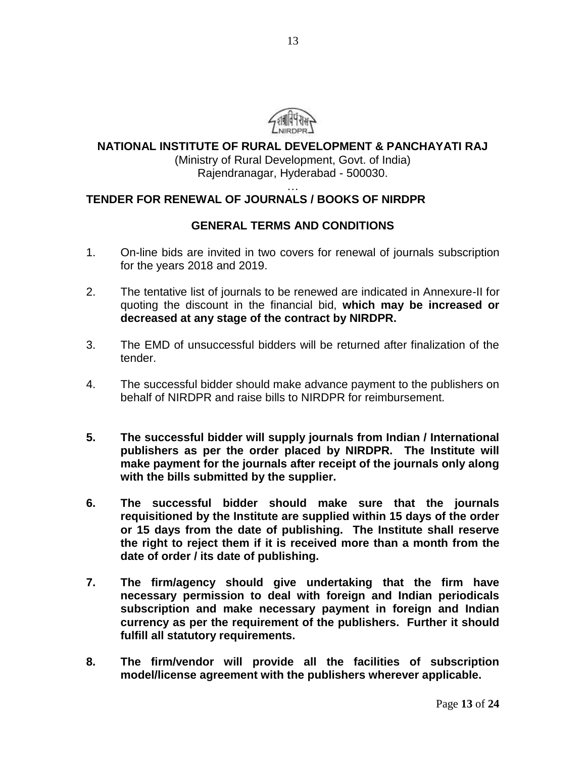

**NATIONAL INSTITUTE OF RURAL DEVELOPMENT & PANCHAYATI RAJ**

(Ministry of Rural Development, Govt. of India) Rajendranagar, Hyderabad - 500030.

#### … **TENDER FOR RENEWAL OF JOURNALS / BOOKS OF NIRDPR**

### **GENERAL TERMS AND CONDITIONS**

- 1. On-line bids are invited in two covers for renewal of journals subscription for the years 2018 and 2019.
- 2. The tentative list of journals to be renewed are indicated in Annexure-II for quoting the discount in the financial bid, **which may be increased or decreased at any stage of the contract by NIRDPR.**
- 3. The EMD of unsuccessful bidders will be returned after finalization of the tender.
- 4. The successful bidder should make advance payment to the publishers on behalf of NIRDPR and raise bills to NIRDPR for reimbursement.
- **5. The successful bidder will supply journals from Indian / International publishers as per the order placed by NIRDPR. The Institute will make payment for the journals after receipt of the journals only along with the bills submitted by the supplier.**
- **6. The successful bidder should make sure that the journals requisitioned by the Institute are supplied within 15 days of the order or 15 days from the date of publishing. The Institute shall reserve the right to reject them if it is received more than a month from the date of order / its date of publishing.**
- **7. The firm/agency should give undertaking that the firm have necessary permission to deal with foreign and Indian periodicals subscription and make necessary payment in foreign and Indian currency as per the requirement of the publishers. Further it should fulfill all statutory requirements.**
- **8. The firm/vendor will provide all the facilities of subscription model/license agreement with the publishers wherever applicable.**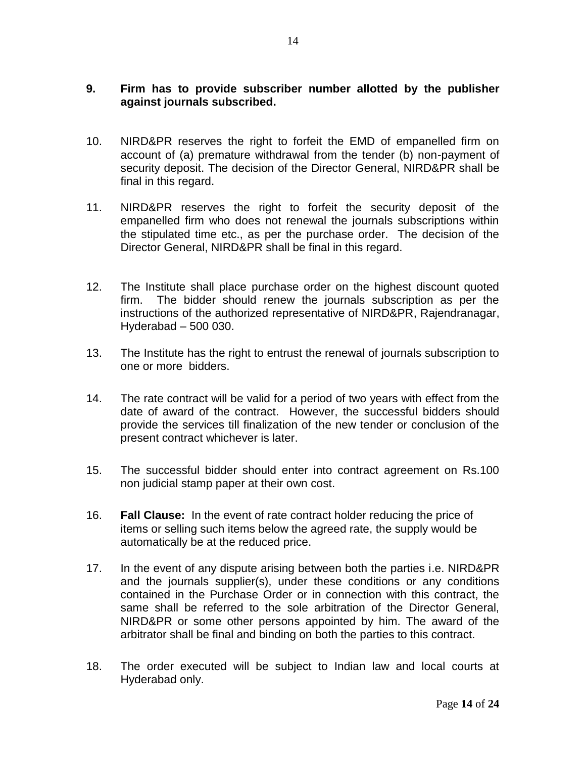### **9. Firm has to provide subscriber number allotted by the publisher against journals subscribed.**

- 10. NIRD&PR reserves the right to forfeit the EMD of empanelled firm on account of (a) premature withdrawal from the tender (b) non-payment of security deposit. The decision of the Director General, NIRD&PR shall be final in this regard.
- 11. NIRD&PR reserves the right to forfeit the security deposit of the empanelled firm who does not renewal the journals subscriptions within the stipulated time etc., as per the purchase order. The decision of the Director General, NIRD&PR shall be final in this regard.
- 12. The Institute shall place purchase order on the highest discount quoted firm. The bidder should renew the journals subscription as per the instructions of the authorized representative of NIRD&PR, Rajendranagar, Hyderabad – 500 030.
- 13. The Institute has the right to entrust the renewal of journals subscription to one or more bidders.
- 14. The rate contract will be valid for a period of two years with effect from the date of award of the contract. However, the successful bidders should provide the services till finalization of the new tender or conclusion of the present contract whichever is later.
- 15. The successful bidder should enter into contract agreement on Rs.100 non judicial stamp paper at their own cost.
- 16. **Fall Clause:** In the event of rate contract holder reducing the price of items or selling such items below the agreed rate, the supply would be automatically be at the reduced price.
- 17. In the event of any dispute arising between both the parties i.e. NIRD&PR and the journals supplier(s), under these conditions or any conditions contained in the Purchase Order or in connection with this contract, the same shall be referred to the sole arbitration of the Director General, NIRD&PR or some other persons appointed by him. The award of the arbitrator shall be final and binding on both the parties to this contract.
- 18. The order executed will be subject to Indian law and local courts at Hyderabad only.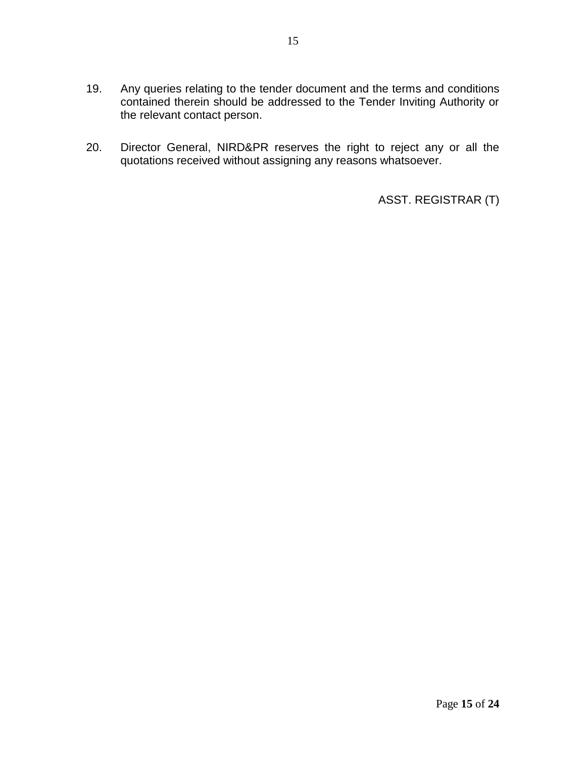- 19. Any queries relating to the tender document and the terms and conditions contained therein should be addressed to the Tender Inviting Authority or the relevant contact person.
- 20. Director General, NIRD&PR reserves the right to reject any or all the quotations received without assigning any reasons whatsoever.

ASST. REGISTRAR (T)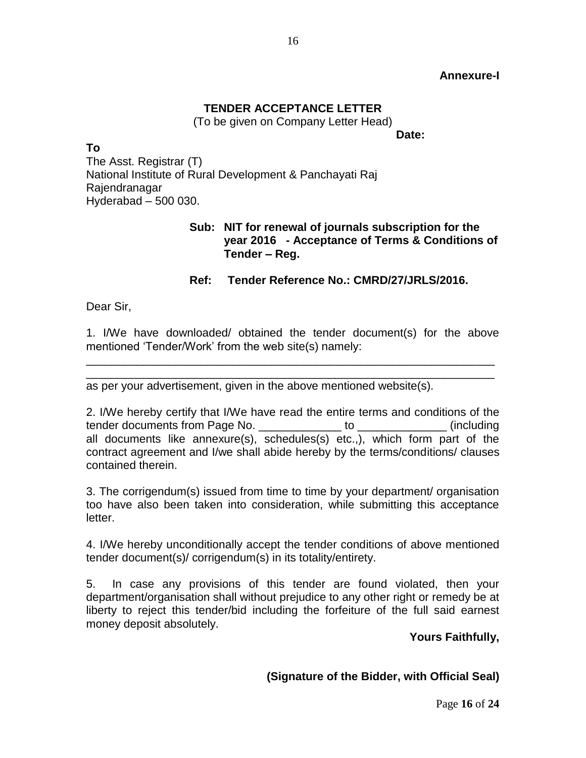### **Annexure-I**

### **TENDER ACCEPTANCE LETTER**

(To be given on Company Letter Head)

**Date:**

**To** The Asst. Registrar (T) National Institute of Rural Development & Panchayati Raj Rajendranagar Hyderabad – 500 030.

### **Sub: NIT for renewal of journals subscription for the year 2016 - Acceptance of Terms & Conditions of Tender – Reg.**

### **Ref: Tender Reference No.: CMRD/27/JRLS/2016.**

Dear Sir,

1. I/We have downloaded/ obtained the tender document(s) for the above mentioned 'Tender/Work' from the web site(s) namely:

\_\_\_\_\_\_\_\_\_\_\_\_\_\_\_\_\_\_\_\_\_\_\_\_\_\_\_\_\_\_\_\_\_\_\_\_\_\_\_\_\_\_\_\_\_\_\_\_\_\_\_\_\_\_\_\_\_\_\_\_\_\_\_\_

\_\_\_\_\_\_\_\_\_\_\_\_\_\_\_\_\_\_\_\_\_\_\_\_\_\_\_\_\_\_\_\_\_\_\_\_\_\_\_\_\_\_\_\_\_\_\_\_\_\_\_\_\_\_\_\_\_\_\_\_\_\_\_\_ as per your advertisement, given in the above mentioned website(s).

2. I/We hereby certify that I/We have read the entire terms and conditions of the tender documents from Page No. \_\_\_\_\_\_\_\_\_\_\_\_\_ to \_\_\_\_\_\_\_\_\_\_\_\_\_\_ (including all documents like annexure(s), schedules(s) etc.,), which form part of the contract agreement and I/we shall abide hereby by the terms/conditions/ clauses contained therein.

3. The corrigendum(s) issued from time to time by your department/ organisation too have also been taken into consideration, while submitting this acceptance letter.

4. I/We hereby unconditionally accept the tender conditions of above mentioned tender document(s)/ corrigendum(s) in its totality/entirety.

5. In case any provisions of this tender are found violated, then your department/organisation shall without prejudice to any other right or remedy be at liberty to reject this tender/bid including the forfeiture of the full said earnest money deposit absolutely.

 **Yours Faithfully,**

### **(Signature of the Bidder, with Official Seal)**

Page **16** of **24**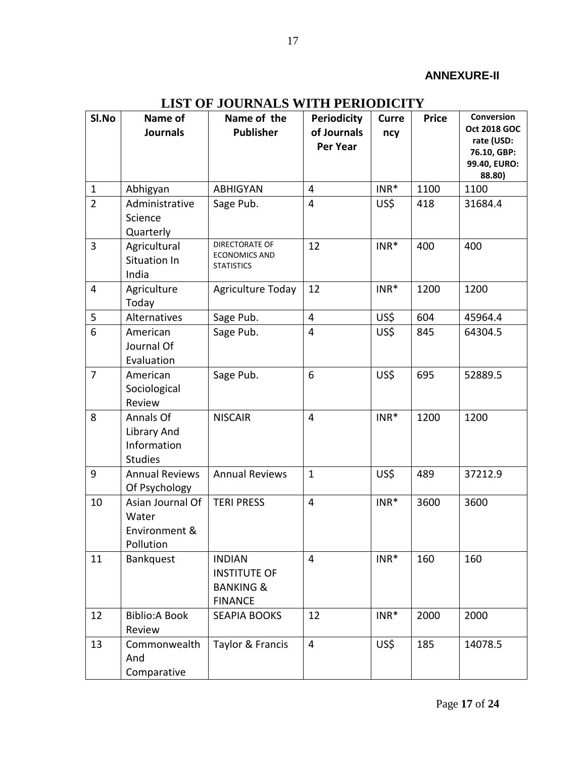### **ANNEXURE-II**

| SI.No          | Name of<br><b>Journals</b>                                | Name of the<br><b>Publisher</b>                                                | <b>Periodicity</b><br>of Journals<br><b>Per Year</b> | <b>Curre</b><br>ncy | <b>Price</b> | Conversion<br><b>Oct 2018 GOC</b><br>rate (USD:<br>76.10, GBP:<br>99.40, EURO:<br>88.80) |
|----------------|-----------------------------------------------------------|--------------------------------------------------------------------------------|------------------------------------------------------|---------------------|--------------|------------------------------------------------------------------------------------------|
| $\mathbf 1$    | Abhigyan                                                  | <b>ABHIGYAN</b>                                                                | 4                                                    | $INR*$              | 1100         | 1100                                                                                     |
| $\overline{2}$ | Administrative<br>Science<br>Quarterly                    | Sage Pub.                                                                      | $\overline{\mathbf{4}}$                              | US\$                | 418          | 31684.4                                                                                  |
| 3              | Agricultural<br>Situation In<br>India                     | DIRECTORATE OF<br><b>ECONOMICS AND</b><br><b>STATISTICS</b>                    | 12                                                   | $INR*$              | 400          | 400                                                                                      |
| 4              | Agriculture<br>Today                                      | Agriculture Today                                                              | 12                                                   | $INR*$              | 1200         | 1200                                                                                     |
| 5              | Alternatives                                              | Sage Pub.                                                                      | $\overline{4}$                                       | US\$                | 604          | 45964.4                                                                                  |
| 6              | American<br>Journal Of<br>Evaluation                      | Sage Pub.                                                                      | 4                                                    | US\$                | 845          | 64304.5                                                                                  |
| $\overline{7}$ | American<br>Sociological<br>Review                        | Sage Pub.                                                                      | 6                                                    | US\$                | 695          | 52889.5                                                                                  |
| 8              | Annals Of<br>Library And<br>Information<br><b>Studies</b> | <b>NISCAIR</b>                                                                 | 4                                                    | $INR*$              | 1200         | 1200                                                                                     |
| 9              | <b>Annual Reviews</b><br>Of Psychology                    | <b>Annual Reviews</b>                                                          | $\mathbf{1}$                                         | US\$                | 489          | 37212.9                                                                                  |
| 10             | Asian Journal Of<br>Water<br>Environment &<br>Pollution   | <b>TERI PRESS</b>                                                              | $\overline{4}$                                       | $INR*$              | 3600         | 3600                                                                                     |
| 11             | Bankquest                                                 | <b>INDIAN</b><br><b>INSTITUTE OF</b><br><b>BANKING &amp;</b><br><b>FINANCE</b> | $\overline{4}$                                       | $INR*$              | 160          | 160                                                                                      |
| 12             | <b>Biblio:A Book</b><br>Review                            | <b>SEAPIA BOOKS</b>                                                            | 12                                                   | $INR*$              | 2000         | 2000                                                                                     |
| 13             | Commonwealth<br>And<br>Comparative                        | Taylor & Francis                                                               | $\overline{4}$                                       | US\$                | 185          | 14078.5                                                                                  |

# **LIST OF JOURNALS WITH PERIODICITY**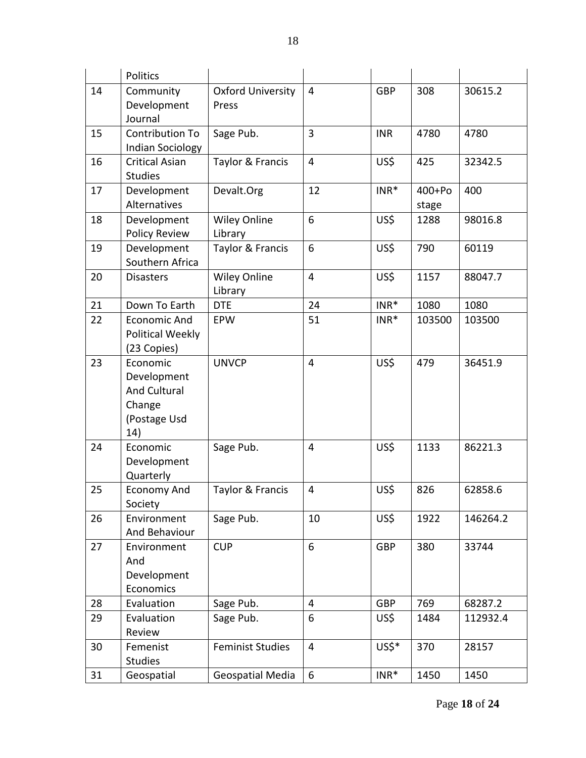|    | Politics                |                          |                         |            |          |          |
|----|-------------------------|--------------------------|-------------------------|------------|----------|----------|
| 14 | Community               | <b>Oxford University</b> | $\overline{4}$          | <b>GBP</b> | 308      | 30615.2  |
|    | Development             | Press                    |                         |            |          |          |
|    | Journal                 |                          |                         |            |          |          |
| 15 | Contribution To         | Sage Pub.                | 3                       | <b>INR</b> | 4780     | 4780     |
|    | <b>Indian Sociology</b> |                          |                         |            |          |          |
| 16 | <b>Critical Asian</b>   | Taylor & Francis         | 4                       | US\$       | 425      | 32342.5  |
|    | <b>Studies</b>          |                          |                         |            |          |          |
| 17 | Development             | Devalt.Org               | 12                      | $INR*$     | $400+Po$ | 400      |
|    | Alternatives            |                          |                         |            | stage    |          |
| 18 | Development             | <b>Wiley Online</b>      | 6                       | US\$       | 1288     | 98016.8  |
|    | <b>Policy Review</b>    | Library                  |                         |            |          |          |
| 19 | Development             | Taylor & Francis         | 6                       | US\$       | 790      | 60119    |
|    | Southern Africa         |                          |                         |            |          |          |
| 20 | <b>Disasters</b>        | <b>Wiley Online</b>      | 4                       | US\$       | 1157     | 88047.7  |
|    |                         | Library                  |                         |            |          |          |
| 21 | Down To Earth           | <b>DTE</b>               | 24                      | $INR*$     | 1080     | 1080     |
| 22 | <b>Economic And</b>     | EPW                      | 51                      | $INR*$     | 103500   | 103500   |
|    | Political Weekly        |                          |                         |            |          |          |
|    | (23 Copies)             |                          |                         |            |          |          |
| 23 | Economic                | <b>UNVCP</b>             | 4                       | US\$       | 479      | 36451.9  |
|    | Development             |                          |                         |            |          |          |
|    | <b>And Cultural</b>     |                          |                         |            |          |          |
|    | Change                  |                          |                         |            |          |          |
|    | (Postage Usd            |                          |                         |            |          |          |
|    | 14)                     |                          |                         |            |          |          |
| 24 | Economic                | Sage Pub.                | 4                       | US\$       | 1133     | 86221.3  |
|    | Development             |                          |                         |            |          |          |
|    | Quarterly               |                          |                         |            |          |          |
| 25 | <b>Economy And</b>      | Taylor & Francis         | 4                       | US\$       | 826      | 62858.6  |
|    | Society                 |                          |                         |            |          |          |
| 26 | Environment             | Sage Pub.                | 10                      | US\$       | 1922     | 146264.2 |
|    | And Behaviour           |                          |                         |            |          |          |
| 27 | Environment             | <b>CUP</b>               | 6                       | <b>GBP</b> | 380      | 33744    |
|    | And                     |                          |                         |            |          |          |
|    | Development             |                          |                         |            |          |          |
|    | Economics               |                          |                         |            |          |          |
| 28 | Evaluation              | Sage Pub.                | 4                       | <b>GBP</b> | 769      | 68287.2  |
| 29 | Evaluation              | Sage Pub.                | 6                       | US\$       | 1484     | 112932.4 |
|    | Review                  |                          |                         |            |          |          |
| 30 | Femenist                | <b>Feminist Studies</b>  | $\overline{\mathbf{4}}$ | US\$*      | 370      | 28157    |
|    | <b>Studies</b>          |                          |                         |            |          |          |
| 31 | Geospatial              | <b>Geospatial Media</b>  | 6                       | $INR*$     | 1450     | 1450     |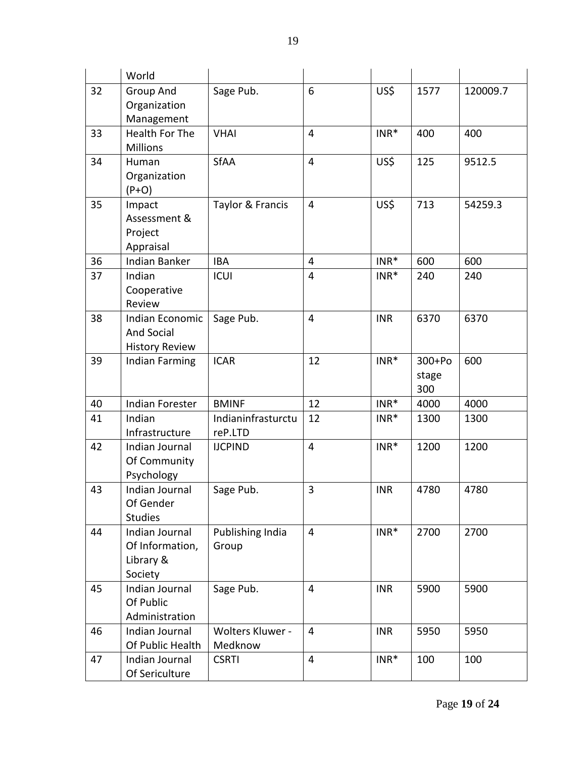|          | World                             |                    |                     |                  |            |            |
|----------|-----------------------------------|--------------------|---------------------|------------------|------------|------------|
| 32       | Group And                         | Sage Pub.          | 6                   | US\$             | 1577       | 120009.7   |
|          | Organization                      |                    |                     |                  |            |            |
|          | Management                        |                    |                     |                  |            |            |
| 33       | Health For The<br><b>Millions</b> | <b>VHAI</b>        | $\overline{4}$      | $INR*$           | 400        | 400        |
| 34       | Human                             | <b>SfAA</b>        | 4                   | US\$             | 125        | 9512.5     |
|          | Organization                      |                    |                     |                  |            |            |
|          | $(P+O)$                           |                    |                     |                  |            |            |
| 35       | Impact                            | Taylor & Francis   | 4                   | US\$             | 713        | 54259.3    |
|          | Assessment &                      |                    |                     |                  |            |            |
|          | Project                           |                    |                     |                  |            |            |
|          | Appraisal<br><b>Indian Banker</b> |                    |                     |                  |            |            |
| 36<br>37 | Indian                            | <b>IBA</b><br>ICUI | 4<br>$\overline{4}$ | $INR*$<br>$INR*$ | 600<br>240 | 600<br>240 |
|          | Cooperative                       |                    |                     |                  |            |            |
|          | Review                            |                    |                     |                  |            |            |
| 38       | Indian Economic                   | Sage Pub.          | 4                   | <b>INR</b>       | 6370       | 6370       |
|          | And Social                        |                    |                     |                  |            |            |
|          | <b>History Review</b>             |                    |                     |                  |            |            |
| 39       | Indian Farming                    | <b>ICAR</b>        | 12                  | $INR*$           | $300+Po$   | 600        |
|          |                                   |                    |                     |                  | stage      |            |
|          |                                   |                    |                     |                  | 300        |            |
| 40       | Indian Forester                   | <b>BMINF</b>       | 12                  | $INR*$           | 4000       | 4000       |
| 41       | Indian                            | Indianinfrasturctu | 12                  | $INR*$           | 1300       | 1300       |
|          | Infrastructure                    | reP.LTD            |                     |                  |            |            |
| 42       | Indian Journal                    | <b>IJCPIND</b>     | 4                   | $INR*$           | 1200       | 1200       |
|          | Of Community                      |                    |                     |                  |            |            |
|          | Psychology                        |                    |                     |                  |            |            |
| 43       | Indian Journal<br>Of Gender       | Sage Pub.          | 3                   | <b>INR</b>       | 4780       | 4780       |
|          | <b>Studies</b>                    |                    |                     |                  |            |            |
| 44       | Indian Journal                    | Publishing India   | $\overline{4}$      | $INR*$           | 2700       | 2700       |
|          | Of Information,                   | Group              |                     |                  |            |            |
|          | Library &                         |                    |                     |                  |            |            |
|          | Society                           |                    |                     |                  |            |            |
| 45       | Indian Journal                    | Sage Pub.          | 4                   | <b>INR</b>       | 5900       | 5900       |
|          | Of Public                         |                    |                     |                  |            |            |
|          | Administration                    |                    |                     |                  |            |            |
| 46       | Indian Journal                    | Wolters Kluwer -   | $\overline{4}$      | <b>INR</b>       | 5950       | 5950       |
|          | Of Public Health                  | Medknow            |                     |                  |            |            |
| 47       | Indian Journal                    | <b>CSRTI</b>       | 4                   | $INR*$           | 100        | 100        |
|          | Of Sericulture                    |                    |                     |                  |            |            |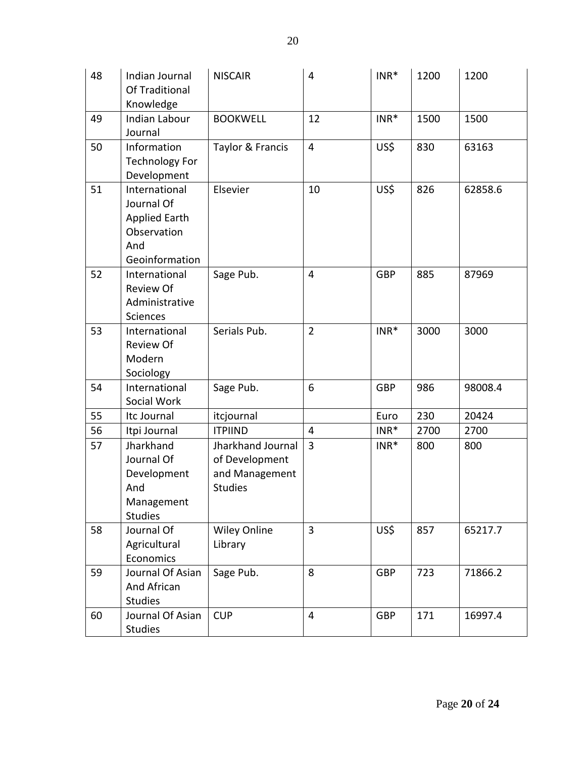| 48 | Indian Journal<br>Of Traditional<br>Knowledge                                               | <b>NISCAIR</b>                                                          | 4                       | $INR*$     | 1200 | 1200    |
|----|---------------------------------------------------------------------------------------------|-------------------------------------------------------------------------|-------------------------|------------|------|---------|
| 49 | <b>Indian Labour</b><br>Journal                                                             | <b>BOOKWELL</b>                                                         | 12                      | $INR*$     | 1500 | 1500    |
| 50 | Information<br><b>Technology For</b><br>Development                                         | Taylor & Francis                                                        | $\overline{\mathbf{4}}$ | US\$       | 830  | 63163   |
| 51 | International<br>Journal Of<br><b>Applied Earth</b><br>Observation<br>And<br>Geoinformation | Elsevier                                                                | 10                      | US\$       | 826  | 62858.6 |
| 52 | International<br><b>Review Of</b><br>Administrative<br>Sciences                             | Sage Pub.                                                               | $\overline{4}$          | <b>GBP</b> | 885  | 87969   |
| 53 | International<br><b>Review Of</b><br>Modern<br>Sociology                                    | Serials Pub.                                                            | $\overline{2}$          | $INR*$     | 3000 | 3000    |
| 54 | International<br>Social Work                                                                | Sage Pub.                                                               | 6                       | <b>GBP</b> | 986  | 98008.4 |
| 55 | Itc Journal                                                                                 | itcjournal                                                              |                         | Euro       | 230  | 20424   |
| 56 | Itpi Journal                                                                                | <b>ITPIIND</b>                                                          | $\overline{4}$          | $INR*$     | 2700 | 2700    |
| 57 | Jharkhand<br>Journal Of<br>Development<br>And<br>Management<br><b>Studies</b>               | Jharkhand Journal<br>of Development<br>and Management<br><b>Studies</b> | 3                       | $INR*$     | 800  | 800     |
| 58 | Journal Of<br>Agricultural<br>Economics                                                     | <b>Wiley Online</b><br>Library                                          | 3                       | US\$       | 857  | 65217.7 |
| 59 | Journal Of Asian<br>And African<br><b>Studies</b>                                           | Sage Pub.                                                               | 8                       | <b>GBP</b> | 723  | 71866.2 |
| 60 | Journal Of Asian<br><b>Studies</b>                                                          | <b>CUP</b>                                                              | $\overline{\mathbf{4}}$ | <b>GBP</b> | 171  | 16997.4 |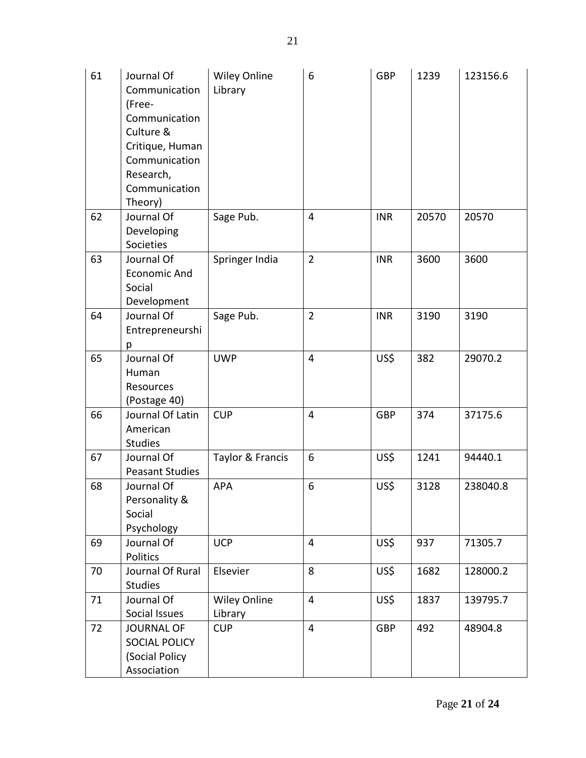| 61 | Journal Of<br>Communication<br>(Free-<br>Communication<br>Culture &<br>Critique, Human<br>Communication<br>Research,<br>Communication<br>Theory) | <b>Wiley Online</b><br>Library | 6                       | <b>GBP</b> | 1239  | 123156.6 |
|----|--------------------------------------------------------------------------------------------------------------------------------------------------|--------------------------------|-------------------------|------------|-------|----------|
| 62 | Journal Of<br>Developing<br>Societies                                                                                                            | Sage Pub.                      | 4                       | <b>INR</b> | 20570 | 20570    |
| 63 | Journal Of<br><b>Economic And</b><br>Social<br>Development                                                                                       | Springer India                 | $\overline{2}$          | <b>INR</b> | 3600  | 3600     |
| 64 | Journal Of<br>Entrepreneurshi<br>р                                                                                                               | Sage Pub.                      | $\overline{2}$          | <b>INR</b> | 3190  | 3190     |
| 65 | Journal Of<br>Human<br>Resources<br>(Postage 40)                                                                                                 | <b>UWP</b>                     | 4                       | US\$       | 382   | 29070.2  |
| 66 | Journal Of Latin<br>American<br><b>Studies</b>                                                                                                   | <b>CUP</b>                     | 4                       | <b>GBP</b> | 374   | 37175.6  |
| 67 | Journal Of<br><b>Peasant Studies</b>                                                                                                             | Taylor & Francis               | 6                       | US\$       | 1241  | 94440.1  |
| 68 | Journal Of<br>Personality &<br>Social<br>Psychology                                                                                              | <b>APA</b>                     | 6                       | US\$       | 3128  | 238040.8 |
| 69 | Journal Of<br>Politics                                                                                                                           | <b>UCP</b>                     | $\overline{4}$          | US\$       | 937   | 71305.7  |
| 70 | Journal Of Rural<br><b>Studies</b>                                                                                                               | Elsevier                       | 8                       | US\$       | 1682  | 128000.2 |
| 71 | Journal Of<br>Social Issues                                                                                                                      | <b>Wiley Online</b><br>Library | $\overline{\mathbf{4}}$ | US\$       | 1837  | 139795.7 |
| 72 | <b>JOURNAL OF</b><br>SOCIAL POLICY<br>(Social Policy<br>Association                                                                              | <b>CUP</b>                     | $\overline{4}$          | <b>GBP</b> | 492   | 48904.8  |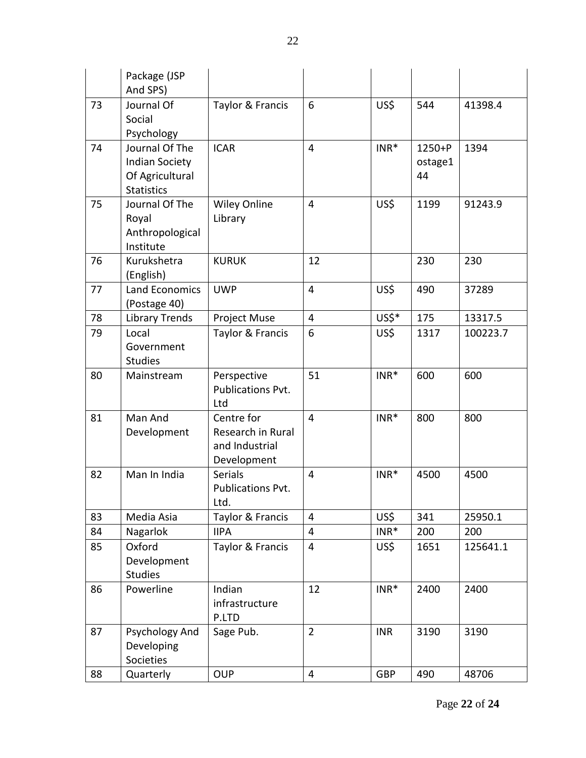|    | Package (JSP<br>And SPS)                                                        |                                                                  |                |            |                             |          |
|----|---------------------------------------------------------------------------------|------------------------------------------------------------------|----------------|------------|-----------------------------|----------|
| 73 | Journal Of<br>Social<br>Psychology                                              | Taylor & Francis                                                 | 6              | US\$       | 544                         | 41398.4  |
| 74 | Journal Of The<br><b>Indian Society</b><br>Of Agricultural<br><b>Statistics</b> | <b>ICAR</b>                                                      | 4              | $INR*$     | $1250 + P$<br>ostage1<br>44 | 1394     |
| 75 | Journal Of The<br>Royal<br>Anthropological<br>Institute                         | <b>Wiley Online</b><br>Library                                   | 4              | US\$       | 1199                        | 91243.9  |
| 76 | Kurukshetra<br>(English)                                                        | <b>KURUK</b>                                                     | 12             |            | 230                         | 230      |
| 77 | <b>Land Economics</b><br>(Postage 40)                                           | <b>UWP</b>                                                       | 4              | US\$       | 490                         | 37289    |
| 78 | <b>Library Trends</b>                                                           | Project Muse                                                     | 4              | US\$*      | 175                         | 13317.5  |
| 79 | Local<br>Government<br><b>Studies</b>                                           | Taylor & Francis                                                 | 6              | US\$       | 1317                        | 100223.7 |
| 80 | Mainstream                                                                      | Perspective<br>Publications Pvt.<br>Ltd                          | 51             | $INR*$     | 600                         | 600      |
| 81 | Man And<br>Development                                                          | Centre for<br>Research in Rural<br>and Industrial<br>Development | $\overline{4}$ | $INR*$     | 800                         | 800      |
| 82 | Man In India                                                                    | <b>Serials</b><br>Publications Pvt.<br>Ltd.                      | 4              | $INR*$     | 4500                        | 4500     |
| 83 | Media Asia                                                                      | Taylor & Francis                                                 | $\overline{4}$ | US\$       | 341                         | 25950.1  |
| 84 | Nagarlok                                                                        | <b>IIPA</b>                                                      | 4              | $INR*$     | 200                         | 200      |
| 85 | Oxford<br>Development<br><b>Studies</b>                                         | Taylor & Francis                                                 | 4              | US\$       | 1651                        | 125641.1 |
| 86 | Powerline                                                                       | Indian<br>infrastructure<br>P.LTD                                | 12             | $INR*$     | 2400                        | 2400     |
| 87 | Psychology And<br>Developing<br>Societies                                       | Sage Pub.                                                        | $\overline{2}$ | <b>INR</b> | 3190                        | 3190     |
| 88 | Quarterly                                                                       | <b>OUP</b>                                                       | 4              | <b>GBP</b> | 490                         | 48706    |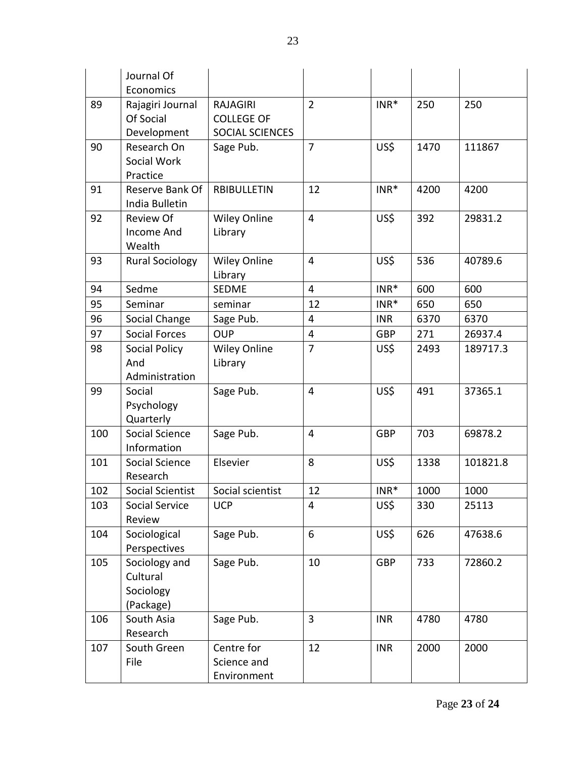|     | Journal Of              |                     |                         |            |      |          |
|-----|-------------------------|---------------------|-------------------------|------------|------|----------|
|     | Economics               |                     |                         |            |      |          |
| 89  | Rajagiri Journal        | <b>RAJAGIRI</b>     | $\overline{2}$          | $INR*$     | 250  | 250      |
|     | Of Social               | <b>COLLEGE OF</b>   |                         |            |      |          |
|     | Development             | SOCIAL SCIENCES     |                         |            |      |          |
| 90  | Research On             | Sage Pub.           | $\overline{7}$          | US\$       | 1470 | 111867   |
|     | Social Work             |                     |                         |            |      |          |
|     | Practice                |                     |                         |            |      |          |
| 91  | Reserve Bank Of         | <b>RBIBULLETIN</b>  | 12                      | $INR*$     | 4200 | 4200     |
|     | India Bulletin          |                     |                         |            |      |          |
| 92  | <b>Review Of</b>        | <b>Wiley Online</b> | $\overline{4}$          | US\$       | 392  | 29831.2  |
|     | <b>Income And</b>       | Library             |                         |            |      |          |
|     | Wealth                  |                     |                         |            |      |          |
| 93  | <b>Rural Sociology</b>  | <b>Wiley Online</b> | $\overline{4}$          | US\$       | 536  | 40789.6  |
|     |                         | Library             |                         |            |      |          |
| 94  | Sedme                   | <b>SEDME</b>        | 4                       | $INR*$     | 600  | 600      |
| 95  | Seminar                 | seminar             | 12                      | $INR*$     | 650  | 650      |
| 96  | Social Change           | Sage Pub.           | 4                       | <b>INR</b> | 6370 | 6370     |
| 97  | <b>Social Forces</b>    | <b>OUP</b>          | $\overline{\mathbf{4}}$ | <b>GBP</b> | 271  | 26937.4  |
| 98  | Social Policy           | <b>Wiley Online</b> | $\overline{7}$          | US\$       | 2493 | 189717.3 |
|     | And                     | Library             |                         |            |      |          |
|     | Administration          |                     |                         |            |      |          |
| 99  | Social                  | Sage Pub.           | $\overline{4}$          | US\$       | 491  | 37365.1  |
|     | Psychology              |                     |                         |            |      |          |
|     | Quarterly               |                     |                         |            |      |          |
| 100 | Social Science          | Sage Pub.           | 4                       | <b>GBP</b> | 703  | 69878.2  |
|     | Information             |                     |                         |            |      |          |
| 101 | Social Science          | Elsevier            | 8                       | US\$       | 1338 | 101821.8 |
|     | Research                |                     |                         |            |      |          |
| 102 | <b>Social Scientist</b> | Social scientist    | 12                      | $INR*$     | 1000 | 1000     |
| 103 | Social Service          | <b>UCP</b>          | 4                       | US\$       | 330  | 25113    |
|     | Review                  |                     |                         |            |      |          |
| 104 | Sociological            | Sage Pub.           | 6                       | US\$       | 626  | 47638.6  |
|     | Perspectives            |                     |                         |            |      |          |
| 105 | Sociology and           | Sage Pub.           | 10                      | <b>GBP</b> | 733  | 72860.2  |
|     | Cultural                |                     |                         |            |      |          |
|     | Sociology               |                     |                         |            |      |          |
|     | (Package)               |                     |                         |            |      |          |
| 106 | South Asia              | Sage Pub.           | 3                       | <b>INR</b> | 4780 | 4780     |
|     | Research                |                     |                         |            |      |          |
| 107 | South Green             | Centre for          | 12                      | <b>INR</b> | 2000 | 2000     |
|     | File                    | Science and         |                         |            |      |          |
|     |                         | Environment         |                         |            |      |          |